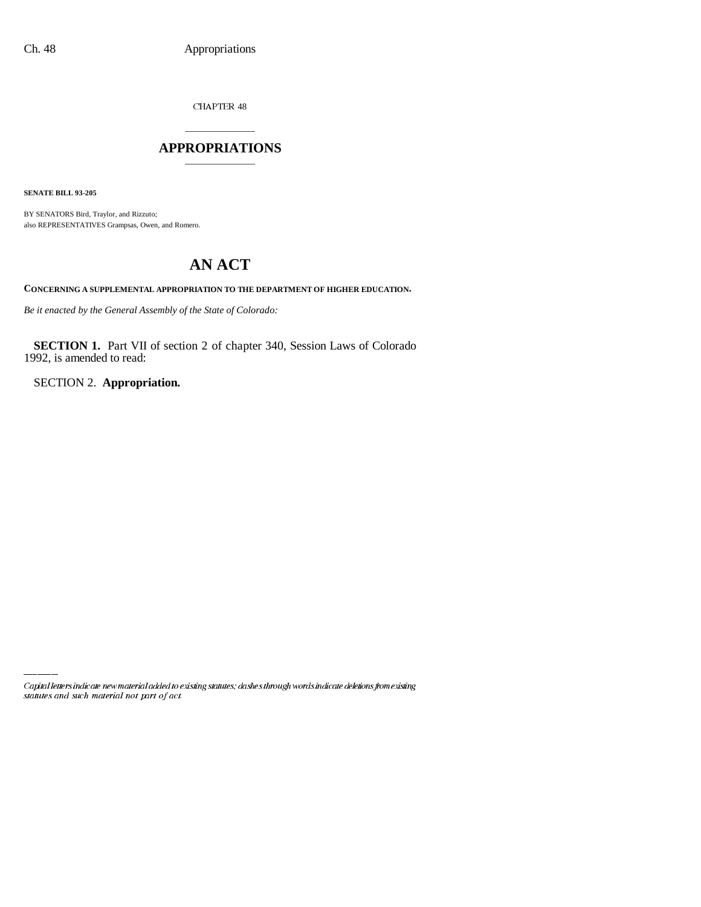CHAPTER  $48$ 

### \_\_\_\_\_\_\_\_\_\_\_\_\_\_\_ **APPROPRIATIONS** \_\_\_\_\_\_\_\_\_\_\_\_\_\_\_

**SENATE BILL 93-205**

BY SENATORS Bird, Traylor, and Rizzuto; also REPRESENTATIVES Grampsas, Owen, and Romero.

## **AN ACT**

**CONCERNING A SUPPLEMENTAL APPROPRIATION TO THE DEPARTMENT OF HIGHER EDUCATION.**

*Be it enacted by the General Assembly of the State of Colorado:*

**SECTION 1.** Part VII of section 2 of chapter 340, Session Laws of Colorado 1992, is amended to read:

SECTION 2. **Appropriation.**

Capital letters indicate new material added to existing statutes; dashes through words indicate deletions from existing statutes and such material not part of act.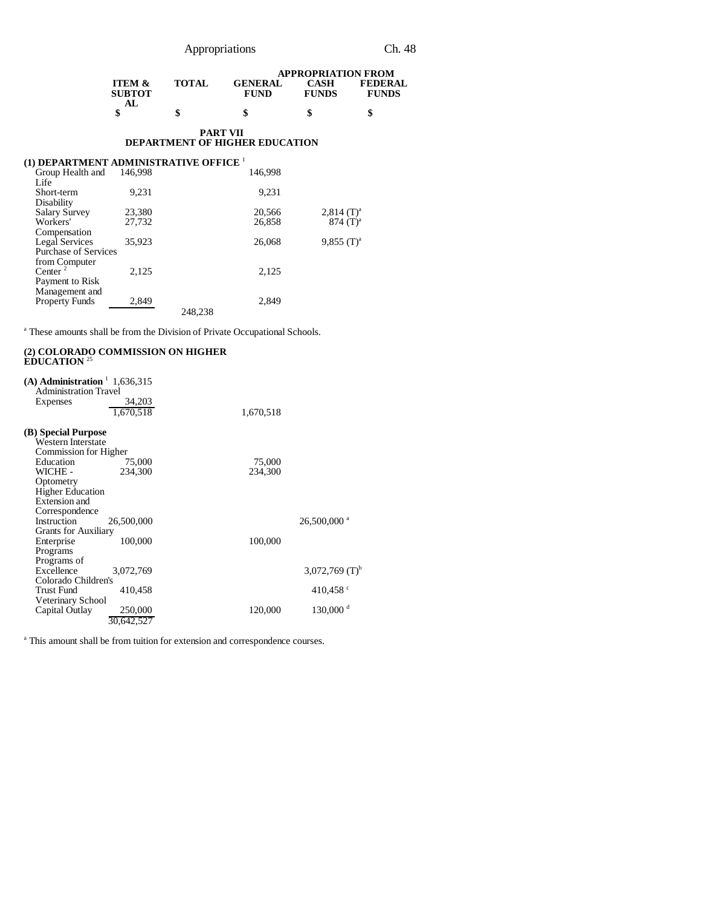|                                                  |              |                               | <b>APPROPRIATION FROM</b> |                                |
|--------------------------------------------------|--------------|-------------------------------|---------------------------|--------------------------------|
| <b>ITEM <math>\&amp;</math></b><br><b>SUBTOT</b> | <b>TOTAL</b> | <b>GENERAL</b><br><b>FUND</b> | CASH<br><b>FUNDS</b>      | <b>FEDERAL</b><br><b>FUNDS</b> |
|                                                  |              | S                             | S                         |                                |

### **PART VII DEPARTMENT OF HIGHER EDUCATION**

### **(1) DEPARTMENT ADMINISTRATIVE OFFICE** <sup>1</sup>

| 146,998                     |         | 146,998 |                          |
|-----------------------------|---------|---------|--------------------------|
|                             |         |         |                          |
| 9.231                       |         | 9,231   |                          |
|                             |         |         |                          |
| 23,380                      |         | 20,566  | $2,814$ (T) <sup>a</sup> |
| 27,732                      |         | 26,858  | $874 (T)^{a}$            |
|                             |         |         |                          |
| 35,923                      |         | 26,068  | $9,855$ (T) <sup>a</sup> |
| <b>Purchase of Services</b> |         |         |                          |
|                             |         |         |                          |
| 2.125                       |         | 2,125   |                          |
|                             |         |         |                          |
|                             |         |         |                          |
| 2,849                       |         | 2,849   |                          |
|                             | 248,238 |         |                          |
|                             |         |         |                          |

<sup>a</sup> These amounts shall be from the Division of Private Occupational Schools.

## **(2) COLORADO COMMISSION ON HIGHER EDUCATION** <sup>25</sup>

| (A) Administration $\frac{1}{1.636,315}$<br><b>Administration Travel</b> |            |           |                              |
|--------------------------------------------------------------------------|------------|-----------|------------------------------|
|                                                                          |            |           |                              |
| Expenses                                                                 | 34,203     |           |                              |
|                                                                          | 1,670,518  | 1,670,518 |                              |
| (B) Special Purpose                                                      |            |           |                              |
| <b>Western Interstate</b>                                                |            |           |                              |
| Commission for Higher                                                    |            |           |                              |
| Education                                                                | 75,000     | 75,000    |                              |
| WICHE -                                                                  | 234,300    | 234,300   |                              |
| Optometry                                                                |            |           |                              |
| <b>Higher Education</b>                                                  |            |           |                              |
| Extension and                                                            |            |           |                              |
| Correspondence                                                           |            |           |                              |
| Instruction                                                              | 26,500,000 |           | $26,500,000$ <sup>a</sup>    |
| <b>Grants for Auxiliary</b>                                              |            |           |                              |
| Enterprise                                                               | 100,000    | 100,000   |                              |
| Programs                                                                 |            |           |                              |
| Programs of                                                              |            |           |                              |
| Excellence                                                               | 3,072,769  |           | $3,072,769$ (T) <sup>b</sup> |
| Colorado Children's                                                      |            |           |                              |
| <b>Trust Fund</b>                                                        | 410,458    |           | 410,458 $\degree$            |
| Veterinary School                                                        |            |           |                              |
| Capital Outlay                                                           | 250,000    | 120,000   | $130,000$ <sup>d</sup>       |
|                                                                          | 30,642,527 |           |                              |

<sup>a</sup> This amount shall be from tuition for extension and correspondence courses.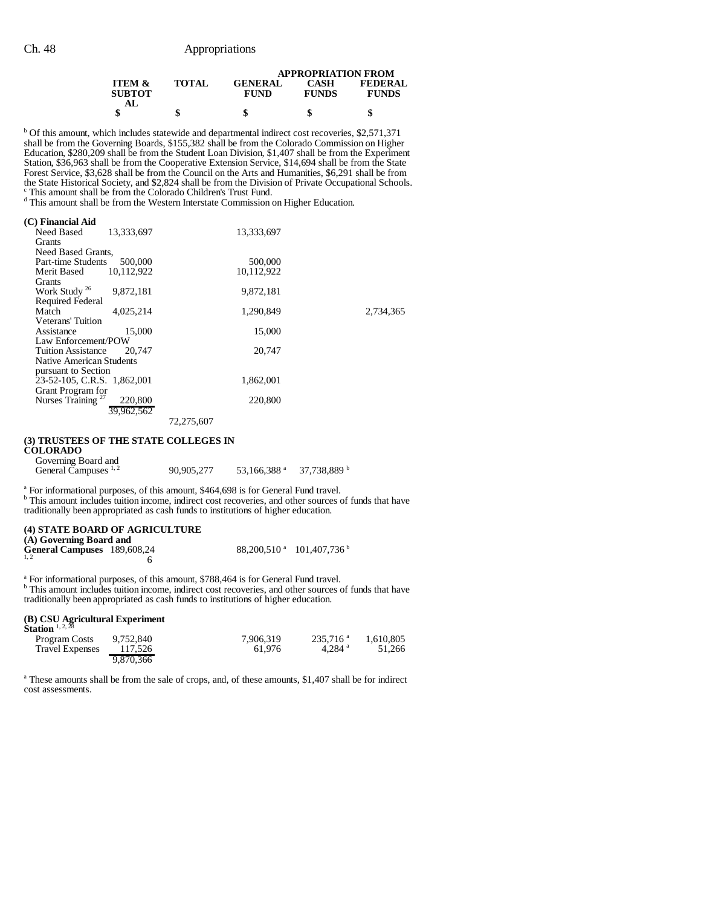|                                           |              | <b>APPROPRIATION FROM</b>     |                      |                                |  |
|-------------------------------------------|--------------|-------------------------------|----------------------|--------------------------------|--|
| <b>ITEM &amp;</b><br><b>SUBTOT</b><br>AL. | <b>TOTAL</b> | <b>GENERAL</b><br><b>FUND</b> | CASH<br><b>FUNDS</b> | <b>FEDERAL</b><br><b>FUNDS</b> |  |
|                                           | a.           | ٠П                            |                      | \$                             |  |

<sup>b</sup> Of this amount, which includes statewide and departmental indirect cost recoveries, \$2,571,371 shall be from the Governing Boards, \$155,382 shall be from the Colorado Commission on Higher Education, \$280,209 shall be from the Student Loan Division, \$1,407 shall be from the Experiment Station, \$36,963 shall be from the Cooperative Extension Service, \$14,694 shall be from the State Forest Service, \$3,628 shall be from the Council on the Arts and Humanities, \$6,291 shall be from the State Historical Society, and \$2,824 shall be from the Division of Private Occupational Schools. c This amount shall be from the Colorado Children's Trust Fund.

d This amount shall be from the Western Interstate Commission on Higher Education.

| (C) Financial Aid               |            |            |            |           |
|---------------------------------|------------|------------|------------|-----------|
| Need Based                      | 13,333,697 |            | 13,333,697 |           |
| <b>Grants</b>                   |            |            |            |           |
| Need Based Grants,              |            |            |            |           |
| Part-time Students              | 500,000    |            | 500,000    |           |
| Merit Based                     | 10.112.922 |            | 10.112.922 |           |
| Grants                          |            |            |            |           |
| Work Study <sup>26</sup>        | 9,872,181  |            | 9,872,181  |           |
| <b>Required Federal</b>         |            |            |            |           |
| Match                           | 4,025,214  |            | 1,290,849  | 2,734,365 |
| Veterans' Tuition               |            |            |            |           |
| Assistance                      | 15,000     |            | 15,000     |           |
| Law Enforcement/POW             |            |            |            |           |
| Tuition Assistance              | 20.747     |            | 20,747     |           |
| <b>Native American Students</b> |            |            |            |           |
| pursuant to Section             |            |            |            |           |
| 23-52-105, C.R.S. 1,862,001     |            |            | 1,862,001  |           |
| Grant Program for               |            |            |            |           |
| Nurses Training <sup>27</sup>   | 220,800    |            | 220,800    |           |
|                                 | 39.962.562 |            |            |           |
|                                 |            | 72,275,607 |            |           |

### **(3) TRUSTEES OF THE STATE COLLEGES IN**

|  | <b>COLORADO</b> |  |
|--|-----------------|--|
|  |                 |  |

| Governing Board and             |            |                         |                         |
|---------------------------------|------------|-------------------------|-------------------------|
| General Campuses <sup>1,2</sup> | 90,905,277 | 53,166,388 <sup>a</sup> | 37,738,889 <sup>b</sup> |

<sup>a</sup> For informational purposes, of this amount, \$464,698 is for General Fund travel.<br><sup>b</sup> This amount includes tuition income, indirect cost recoveries, and other sources of funds that have traditionally been appropriated as cash funds to institutions of higher education.

#### **(4) STATE BOARD OF AGRICULTURE (A) Governing Board and**

| $(22)$ over $\frac{1}{2}$ over $\frac{1}{2}$ and $\frac{1}{2}$<br>General Campuses 189,608,24 |  | $88,200,510^{a}$ 101,407,736 <sup>b</sup> |
|-----------------------------------------------------------------------------------------------|--|-------------------------------------------|
| 1, 2                                                                                          |  |                                           |

<sup>a</sup> For informational purposes, of this amount, \$788,464 is for General Fund travel.<br><sup>b</sup> This amount includes tuition income, indirect cost recoveries, and other sources of funds that have traditionally been appropriated as cash funds to institutions of higher education.

## **(B) CSU Agricultural Experiment Station** 1, 2, 28

| эганчи                 |           |           |                        |           |
|------------------------|-----------|-----------|------------------------|-----------|
| <b>Program Costs</b>   | 9.752.840 | 7.906.319 | $235.716$ <sup>a</sup> | 1.610.805 |
| <b>Travel Expenses</b> | 117.526   | 61.976    | 4.284 $^{\circ}$       | 51.266    |
|                        | 9.870.366 |           |                        |           |

<sup>a</sup> These amounts shall be from the sale of crops, and, of these amounts, \$1,407 shall be for indirect cost assessments.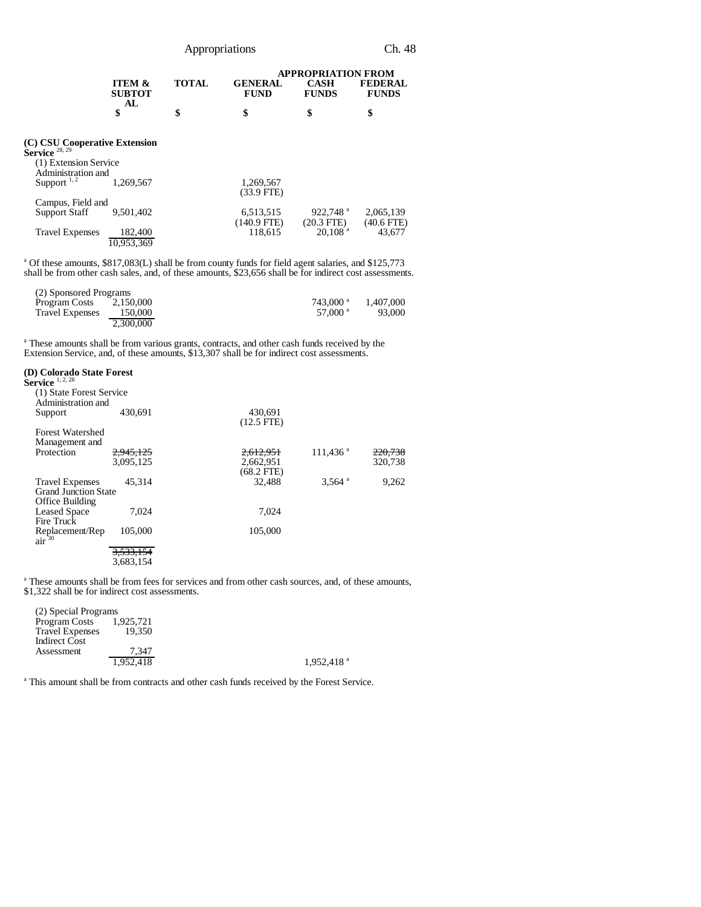| Appropriations |
|----------------|

|              | <b>APPROPRIATION FROM</b>     |                      |                                |  |
|--------------|-------------------------------|----------------------|--------------------------------|--|
| <b>TOTAL</b> | <b>GENERAL</b><br><b>FUND</b> | CASH<br><b>FUNDS</b> | <b>FEDERAL</b><br><b>FUNDS</b> |  |
|              | S                             |                      | \$                             |  |
|              |                               |                      |                                |  |

## **(C) CSU Cooperative Extension Service** 28, 29

| (1) Extension Service  |            |               |                       |              |
|------------------------|------------|---------------|-----------------------|--------------|
| Administration and     |            |               |                       |              |
| Support $^{1,2}$       | 1.269.567  | 1.269.567     |                       |              |
|                        |            | $(33.9$ FTE)  |                       |              |
| Campus, Field and      |            |               |                       |              |
| Support Staff          | 9.501.402  | 6,513,515     | 922.748 $a$           | 2,065,139    |
|                        |            | $(140.9$ FTE) | $(20.3$ FTE)          | $(40.6$ FTE) |
| <b>Travel Expenses</b> | 182,400    | 118,615       | $20,108$ <sup>a</sup> | 43,677       |
|                        | 10.953.369 |               |                       |              |
|                        |            |               |                       |              |

<sup>a</sup> Of these amounts, \$817,083(L) shall be from county funds for field agent salaries, and \$125,773 shall be from other cash sales, and, of these amounts, \$23,656 shall be for indirect cost assessments.

| (2) Sponsored Programs |           |                        |           |
|------------------------|-----------|------------------------|-----------|
| Program Costs          | 2.150,000 | $743,000$ <sup>a</sup> | 1.407.000 |
| <b>Travel Expenses</b> | 150,000   | 57.000 a               | 93,000    |
|                        | 2,300,000 |                        |           |

<sup>a</sup> These amounts shall be from various grants, contracts, and other cash funds received by the Extension Service, and, of these amounts, \$13,307 shall be for indirect cost assessments.

## **(D) Colorado State Forest Service** 1, 2, 28

| ervice $4, 4, 28$           |           |              |                        |         |
|-----------------------------|-----------|--------------|------------------------|---------|
| (1) State Forest Service    |           |              |                        |         |
| Administration and          |           |              |                        |         |
| Support                     | 430,691   | 430,691      |                        |         |
|                             |           | $(12.5$ FTE) |                        |         |
| <b>Forest Watershed</b>     |           |              |                        |         |
| Management and              |           |              |                        |         |
| Protection                  | 2.945.125 | 2,612,951    | $111.436$ <sup>a</sup> | 220.738 |
|                             | 3.095.125 | 2,662,951    |                        | 320,738 |
|                             |           | $(68.2$ FTE) |                        |         |
| <b>Travel Expenses</b>      | 45.314    | 32.488       | $3,564$ <sup>a</sup>   | 9,262   |
| <b>Grand Junction State</b> |           |              |                        |         |
| Office Building             |           |              |                        |         |
|                             | 7.024     |              |                        |         |
| <b>Leased Space</b>         |           | 7,024        |                        |         |
| Fire Truck                  |           |              |                        |         |
| Replacement/Rep             | 105,000   | 105,000      |                        |         |
| air <sup>30</sup>           |           |              |                        |         |
|                             | 3,533,154 |              |                        |         |
|                             | 3,683,154 |              |                        |         |

<sup>a</sup> These amounts shall be from fees for services and from other cash sources, and, of these amounts, \$1,322 shall be for indirect cost assessments.

(2) Special Programs Program Costs 1,925,721 Travel Expenses 19,350 Indirect Cost Assessment  $\frac{7,347}{1,952,418}$ 1,952,418 a

<sup>a</sup> This amount shall be from contracts and other cash funds received by the Forest Service.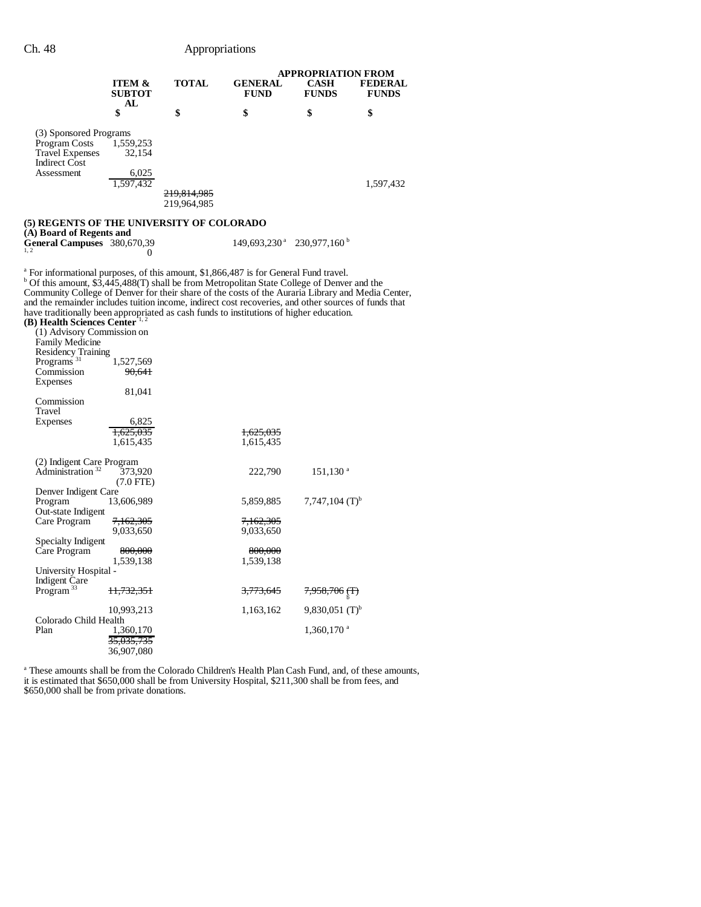## Ch. 48 Appropriations

|                                                                                                                                                                                                                                                                                                                                                                                                                                                                                                                                                                                                                                                                                                                                       |                                                                |                                       |                                                     | <b>APPROPRIATION FROM</b>                       |                                |  |
|---------------------------------------------------------------------------------------------------------------------------------------------------------------------------------------------------------------------------------------------------------------------------------------------------------------------------------------------------------------------------------------------------------------------------------------------------------------------------------------------------------------------------------------------------------------------------------------------------------------------------------------------------------------------------------------------------------------------------------------|----------------------------------------------------------------|---------------------------------------|-----------------------------------------------------|-------------------------------------------------|--------------------------------|--|
|                                                                                                                                                                                                                                                                                                                                                                                                                                                                                                                                                                                                                                                                                                                                       | <b>ITEM &amp;</b><br><b>SUBTOT</b><br>AL                       | TOTAL                                 | <b>GENERAL</b><br><b>FUND</b>                       | CASH<br><b>FUNDS</b>                            | <b>FEDERAL</b><br><b>FUNDS</b> |  |
|                                                                                                                                                                                                                                                                                                                                                                                                                                                                                                                                                                                                                                                                                                                                       |                                                                | \$                                    | \$                                                  | \$                                              | \$                             |  |
| (3) Sponsored Programs<br>Program Costs<br><b>Travel Expenses</b><br><b>Indirect Cost</b>                                                                                                                                                                                                                                                                                                                                                                                                                                                                                                                                                                                                                                             | 1,559,253<br>32,154                                            |                                       |                                                     |                                                 |                                |  |
| Assessment                                                                                                                                                                                                                                                                                                                                                                                                                                                                                                                                                                                                                                                                                                                            | 6,025<br>1.597.432                                             | <del>219,814,985</del><br>219,964,985 |                                                     |                                                 | 1,597,432                      |  |
| (5) REGENTS OF THE UNIVERSITY OF COLORADO                                                                                                                                                                                                                                                                                                                                                                                                                                                                                                                                                                                                                                                                                             |                                                                |                                       |                                                     |                                                 |                                |  |
| (A) Board of Regents and<br>General Campuses 380,670,39                                                                                                                                                                                                                                                                                                                                                                                                                                                                                                                                                                                                                                                                               |                                                                |                                       | $149,693,230^{\text{ a}}$ $230,977,160^{\text{ b}}$ |                                                 |                                |  |
| <sup>a</sup> For informational purposes, of this amount, \$1,866,487 is for General Fund travel.<br><sup>b</sup> Of this amount, \$3,445,488(T) shall be from Metropolitan State College of Denver and the<br>Community College of Denver for their share of the costs of the Auraria Library and Media Center,<br>and the remainder includes tuition income, indirect cost recoveries, and other sources of funds that<br>have traditionally been appropriated as cash funds to institutions of higher education.<br>(B) Health Sciences Center <sup>1,2</sup><br>(1) Advisory Commission on<br><b>Family Medicine</b><br>Residency Training<br>Programs <sup>31</sup><br>Commission<br>Expenses<br>Commission<br>Travel<br>Expenses | 1,527,569<br>90,641<br>81,041<br>6,825                         |                                       |                                                     |                                                 |                                |  |
|                                                                                                                                                                                                                                                                                                                                                                                                                                                                                                                                                                                                                                                                                                                                       | 1,625,035<br>1,615,435                                         |                                       | 1,625,035<br>1,615,435                              |                                                 |                                |  |
| (2) Indigent Care Program<br>Administration <sup>32</sup>                                                                                                                                                                                                                                                                                                                                                                                                                                                                                                                                                                                                                                                                             | 373,920<br>$(7.0$ FTE)                                         |                                       | 222,790                                             | $151,130$ <sup>a</sup>                          |                                |  |
| Denver Indigent Care<br>Program<br>Out-state Indigent                                                                                                                                                                                                                                                                                                                                                                                                                                                                                                                                                                                                                                                                                 | 13,606,989                                                     |                                       | 5,859,885                                           | $7,747,104$ (T) <sup>b</sup>                    |                                |  |
| Care Program                                                                                                                                                                                                                                                                                                                                                                                                                                                                                                                                                                                                                                                                                                                          | 7,162,305<br>9,033,650                                         |                                       | <del>7,162,305</del><br>9,033,650                   |                                                 |                                |  |
| Specialty Indigent<br>Care Program                                                                                                                                                                                                                                                                                                                                                                                                                                                                                                                                                                                                                                                                                                    | 800,000<br>1,539,138                                           |                                       | 800,000<br>1,539,138                                |                                                 |                                |  |
| University Hospital -<br>Indigent Care                                                                                                                                                                                                                                                                                                                                                                                                                                                                                                                                                                                                                                                                                                |                                                                |                                       |                                                     |                                                 |                                |  |
| Program <sup>33</sup>                                                                                                                                                                                                                                                                                                                                                                                                                                                                                                                                                                                                                                                                                                                 | <del>11,732,351</del>                                          |                                       | <del>3,773,645</del>                                | 7,958,706(1)                                    |                                |  |
| Colorado Child Health<br>Plan                                                                                                                                                                                                                                                                                                                                                                                                                                                                                                                                                                                                                                                                                                         | 10,993,213<br>1,360,170<br><del>35,035,735</del><br>36,907,080 |                                       | 1,163,162                                           | 9,830,051 $(T)^{b}$<br>$1,360,170$ <sup>a</sup> |                                |  |

<sup>a</sup> These amounts shall be from the Colorado Children's Health Plan Cash Fund, and, of these amounts, it is estimated that \$650,000 shall be from University Hospital, \$211,300 shall be from fees, and \$650,000 shall be from private donations.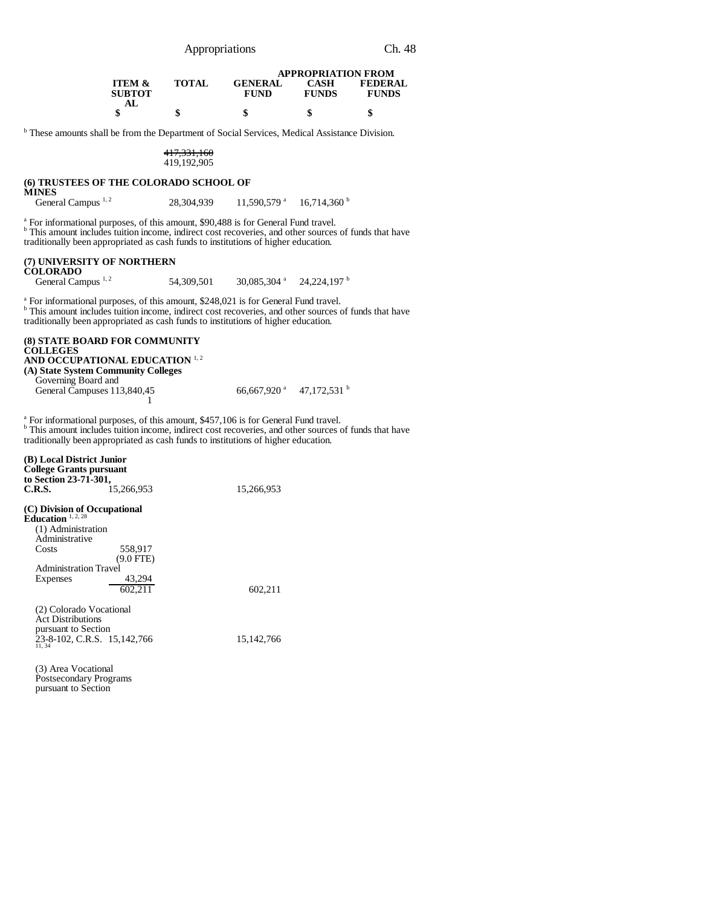|                                                                                                                                                                                                                                                                                                                                                                                           | Appropriations                              |                                       |                                             | Ch. 48                                    |                              |
|-------------------------------------------------------------------------------------------------------------------------------------------------------------------------------------------------------------------------------------------------------------------------------------------------------------------------------------------------------------------------------------------|---------------------------------------------|---------------------------------------|---------------------------------------------|-------------------------------------------|------------------------------|
|                                                                                                                                                                                                                                                                                                                                                                                           | <b>ITEM &amp;</b><br><b>SUBTOT</b><br>AL    | <b>TOTAL</b>                          | GENERAL<br><b>FUND</b>                      | <b>APPROPRIATION FROM</b><br><b>FUNDS</b> | CASH FEDERAL<br><b>FUNDS</b> |
|                                                                                                                                                                                                                                                                                                                                                                                           | \$                                          | \$                                    | \$                                          | \$                                        | \$                           |
| <sup>b</sup> These amounts shall be from the Department of Social Services, Medical Assistance Division.                                                                                                                                                                                                                                                                                  |                                             |                                       |                                             |                                           |                              |
|                                                                                                                                                                                                                                                                                                                                                                                           |                                             | <del>417,331,160</del><br>419,192,905 |                                             |                                           |                              |
| (6) TRUSTEES OF THE COLORADO SCHOOL OF<br><b>MINES</b>                                                                                                                                                                                                                                                                                                                                    |                                             |                                       |                                             |                                           |                              |
| General Campus <sup>1,2</sup>                                                                                                                                                                                                                                                                                                                                                             |                                             | 28,304,939                            | $11,590,579$ $^{a}$ $16,714,360$ $^{b}$     |                                           |                              |
| <sup>a</sup> For informational purposes, of this amount, \$90,488 is for General Fund travel.<br><sup>b</sup> This amount includes tuition income, indirect cost recoveries, and other sources of funds that have<br>traditionally been appropriated as cash funds to institutions of higher education.<br>(7) UNIVERSITY OF NORTHERN                                                     |                                             |                                       |                                             |                                           |                              |
| <b>COLORADO</b>                                                                                                                                                                                                                                                                                                                                                                           |                                             |                                       |                                             |                                           |                              |
| General Campus <sup>1,2</sup>                                                                                                                                                                                                                                                                                                                                                             |                                             |                                       | $54,309,501$ $30,085,304$ $24,224,197$ b    |                                           |                              |
| <sup>b</sup> This amount includes tuition income, indirect cost recoveries, and other sources of funds that have<br>traditionally been appropriated as cash funds to institutions of higher education.<br>(8) STATE BOARD FOR COMMUNITY<br><b>COLLEGES</b><br>AND OCCUPATIONAL EDUCATION 1,2<br>(A) State System Community Colleges<br>Governing Board and<br>General Campuses 113,840,45 | 1                                           |                                       | 66,667,920 $^{\rm a}$ 47,172,531 $^{\rm b}$ |                                           |                              |
| <sup>a</sup> For informational purposes, of this amount, \$457,106 is for General Fund travel.<br><sup>b</sup> This amount includes tuition income, indirect cost recoveries, and other sources of funds that have<br>traditionally been appropriated as cash funds to institutions of higher education.                                                                                  |                                             |                                       |                                             |                                           |                              |
| (B) Local District Junior<br><b>College Grants pursuant</b><br>to Section 23-71-301,<br>C.R.S.                                                                                                                                                                                                                                                                                            | 15,266,953                                  |                                       | 15,266,953                                  |                                           |                              |
| (C) Division of Occupational<br>Education $1, 2, 28$<br>(1) Administration<br>Administrative<br>Costs<br><b>Administration Travel</b><br>Expenses                                                                                                                                                                                                                                         | 558,917<br>$(9.0$ FTE)<br>43.294<br>602,211 |                                       | 602,211                                     |                                           |                              |
| (2) Colorado Vocational<br><b>Act Distributions</b><br>pursuant to Section<br>23-8-102, C.R.S. 15,142,766<br>11, 34                                                                                                                                                                                                                                                                       |                                             |                                       | 15,142,766                                  |                                           |                              |

(3) Area Vocational Postsecondary Programs pursuant to Section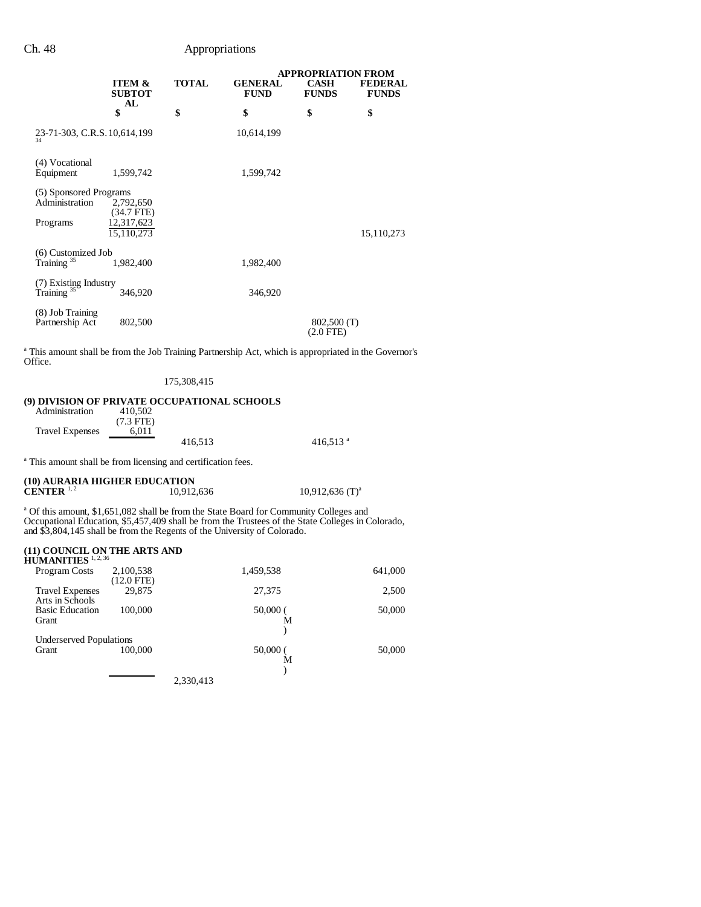Ch. 48 Appropriations

|                                                      |                                         | <b>APPROPRIATION FROM</b> |                               |                             |                                |
|------------------------------------------------------|-----------------------------------------|---------------------------|-------------------------------|-----------------------------|--------------------------------|
|                                                      | <b>ITEM &amp;</b><br><b>SUBTOT</b>      | <b>TOTAL</b>              | <b>GENERAL</b><br><b>FUND</b> | <b>CASH</b><br><b>FUNDS</b> | <b>FEDERAL</b><br><b>FUNDS</b> |
|                                                      | AL<br>\$                                | \$                        | \$                            | \$                          | \$                             |
| 23-71-303, C.R.S. 10,614,199<br>34                   |                                         |                           | 10,614,199                    |                             |                                |
| (4) Vocational<br>Equipment                          | 1,599,742                               |                           | 1,599,742                     |                             |                                |
| (5) Sponsored Programs<br>Administration<br>Programs | 2,792,650<br>$(34.7$ FTE)<br>12,317,623 |                           |                               |                             |                                |
| (6) Customized Job<br>Training <sup>35</sup>         | 15,110,273<br>1,982,400                 |                           | 1,982,400                     |                             | 15, 110, 273                   |
| (7) Existing Industry<br>Training <sup>35</sup>      | 346,920                                 |                           | 346,920                       |                             |                                |
| (8) Job Training<br>Partnership Act                  | 802,500                                 |                           |                               | 802,500 (T)<br>(2.0 FTE)    |                                |

<sup>a</sup> This amount shall be from the Job Training Partnership Act, which is appropriated in the Governor's Office.

### 175,308,415

#### **(9) DIVISION OF PRIVATE OCCUPATIONAL SCHOOLS** Administration  $(7.3 \text{ FTE})$ <br> $6,011$ Travel Expenses \_

416,513<sup>a</sup>

<sup>a</sup> This amount shall be from licensing and certification fees.

# **(10) AURARIA HIGHER EDUCATION**<br>**CENTER** <sup>1,2</sup> 10,912,636 10,912,636 10,912,636 (T)<sup>a</sup>

<sup>a</sup> Of this amount, \$1,651,082 shall be from the State Board for Community Colleges and Occupational Education, \$5,457,409 shall be from the Trustees of the State Colleges in Colorado, and \$3,804,145 shall be from the Regents of the University of Colorado.

## **(11) COUNCIL ON THE ARTS AND HUMANITIES** 1, 2, 36

| HUMANITIES " <sup>*</sup>      |              |           |         |
|--------------------------------|--------------|-----------|---------|
| Program Costs                  | 2,100,538    | 1,459,538 | 641,000 |
|                                | $(12.0$ FTE) |           |         |
| <b>Travel Expenses</b>         | 29,875       | 27,375    | 2,500   |
| Arts in Schools                |              |           |         |
| <b>Basic Education</b>         | 100,000      | 50,000(   | 50,000  |
| Grant                          |              | М         |         |
|                                |              |           |         |
| <b>Underserved Populations</b> |              |           |         |
| Grant                          | 100,000      | 50,000(   | 50,000  |
|                                |              | М         |         |
|                                |              |           |         |
|                                |              | 2,330,413 |         |
|                                |              |           |         |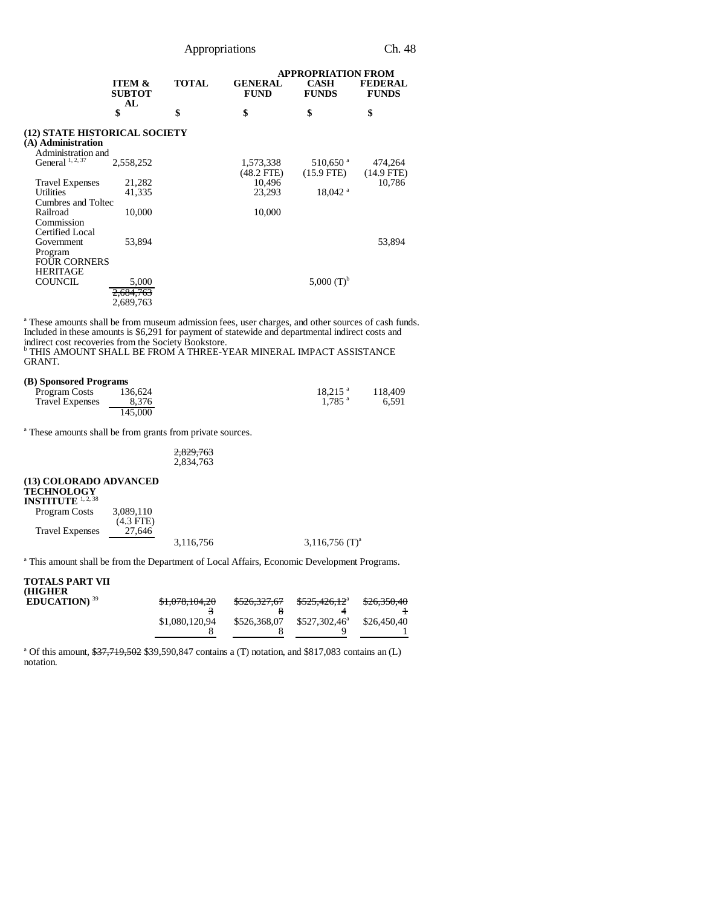| Appropriations |  |
|----------------|--|
|                |  |
|                |  |

|                                                                           |                                    |              | <b>APPROPRIATION FROM</b>     |                                        |                                |  |
|---------------------------------------------------------------------------|------------------------------------|--------------|-------------------------------|----------------------------------------|--------------------------------|--|
|                                                                           | <b>ITEM &amp;</b><br><b>SUBTOT</b> | <b>TOTAL</b> | <b>GENERAL</b><br><b>FUND</b> | <b>CASH</b><br><b>FUNDS</b>            | <b>FEDERAL</b><br><b>FUNDS</b> |  |
|                                                                           | AL<br>\$                           | \$           | \$                            | \$                                     | \$                             |  |
| (12) STATE HISTORICAL SOCIETY<br>(A) Administration<br>Administration and |                                    |              |                               |                                        |                                |  |
| General <sup>1, 2, 37</sup>                                               | 2,558,252                          |              | 1,573,338<br>$(48.2$ FTE)     | $510,650$ <sup>a</sup><br>$(15.9$ FTE) | 474,264<br>$(14.9$ FTE)        |  |
| <b>Travel Expenses</b>                                                    | 21,282                             |              | 10,496                        |                                        | 10,786                         |  |
| <b>Utilities</b>                                                          | 41.335                             |              | 23,293                        | $18,042$ <sup>a</sup>                  |                                |  |
| Cumbres and Toltec                                                        |                                    |              |                               |                                        |                                |  |
| Railroad<br>Commission<br>Certified Local                                 | 10,000                             |              | 10,000                        |                                        |                                |  |
| Government<br>Program<br><b>FOUR CORNERS</b>                              | 53,894                             |              |                               |                                        | 53,894                         |  |
| <b>HERITAGE</b>                                                           |                                    |              |                               |                                        |                                |  |
| <b>COUNCIL</b>                                                            | 5,000                              |              |                               | 5,000 $(T)^{b}$                        |                                |  |
|                                                                           | 2,684,763                          |              |                               |                                        |                                |  |
|                                                                           | 2,689,763                          |              |                               |                                        |                                |  |

<sup>a</sup> These amounts shall be from museum admission fees, user charges, and other sources of cash funds. Included in these amounts is \$6,291 for payment of statewide and departmental indirect costs and indirect cost recoveries from the Society Bookstore. b THIS AMOUNT SHALL BE FROM A THREE-YEAR MINERAL IMPACT ASSISTANCE

GRANT.

### **(B) Sponsored Programs**

| Program Costs          | 136.624 | $18.215$ <sup>a</sup> | 118.409 |
|------------------------|---------|-----------------------|---------|
| <b>Travel Expenses</b> | 8.376   | $1.785$ <sup>a</sup>  | 6.591   |
|                        | 145.000 |                       |         |

a These amounts shall be from grants from private sources.

| 2,829,763 |  |
|-----------|--|
| 2,834,763 |  |

### **(13) COLORADO ADVANCED**

**TECHNOLOGY INSTITUTE** 1, 2, 38

Program Costs 3,089,110  $(4.3 \text{ FTE})$ <br>27,646 Travel Expenses

3,116,756 3,116,756 (T)<sup>a</sup>

<sup>a</sup> This amount shall be from the Department of Local Affairs, Economic Development Programs.

#### **TOTALS PART VII (HIGHER**  $EDUCA$

| $\boldsymbol{\mathrm{TION}}$ 39 | \$1,078,104,20 | \$526,327,67 | \$525,426,12 <sup>a</sup> | \$26,350,40 |
|---------------------------------|----------------|--------------|---------------------------|-------------|
|                                 |                |              |                           |             |
|                                 | \$1,080,120,94 | \$526,368,07 | $$527,302,46^{\circ}$     | \$26,450,40 |
|                                 |                |              |                           |             |

<sup>a</sup> Of this amount,  $\frac{$37,719,502}{100,847}$  \$39,590,847 contains a (T) notation, and \$817,083 contains an (L) notation.